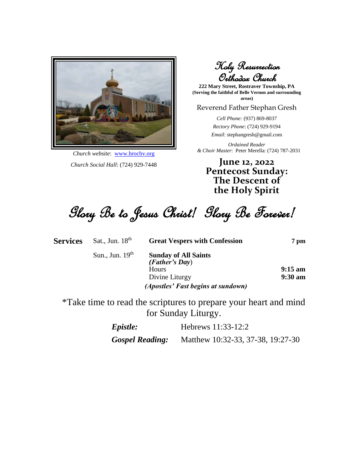

*Church website*: [www.hrocbv.org](http://www.hrocbv.org/) *Church Social Hall*: (724) 929-7448

Holy Resurrection Orthodox Church

**222 Mary Street, Rostraver Township, PA (Serving the faithful of Belle Vernon and surrounding areas)**

#### Reverend Father Stephan Gresh

*Cell Phone:* (937) 869-8037

*Rectory Phone*: (724) 929-9194

*Email*: stephangresh@gmail.com

*Ordained Reader & Choir Master*: Peter Merella: (724) 787-2031

**June 12, 2022 Pentecost Sunday: The Descent of the Holy Spirit**

Glory Be to Jesus Christ! Glory Be Forever!

| <b>Services</b> | Sat., Jun. $18th$ | <b>Great Vespers with Confession</b> | 7 pm              |
|-----------------|-------------------|--------------------------------------|-------------------|
|                 | Sun., Jun. $19th$ | <b>Sunday of All Saints</b>          |                   |
|                 |                   | (Father's Day)<br>Hours              | $9:15 \text{ am}$ |
|                 |                   | Divine Liturgy                       | $9:30 a$ m        |
|                 |                   | (Apostles' Fast begins at sundown)   |                   |
|                 |                   |                                      |                   |

\*Take time to read the scriptures to prepare your heart and mind for Sunday Liturgy.

| Epistle: | Hebrews 11:33-12:2 |  |
|----------|--------------------|--|
|----------|--------------------|--|

*Gospel Reading:* Matthew 10:32-33, 37-38, 19:27-30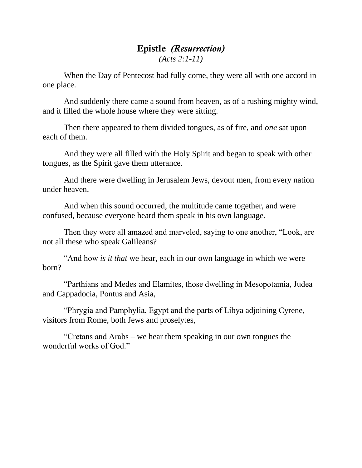#### Epistle *(Resurrection) (Acts 2:1-11)*

When the Day of Pentecost had fully come, they were all with one accord in one place.

And suddenly there came a sound from heaven, as of a rushing mighty wind, and it filled the whole house where they were sitting.

Then there appeared to them divided tongues, as of fire, and *one* sat upon each of them.

And they were all filled with the Holy Spirit and began to speak with other tongues, as the Spirit gave them utterance.

And there were dwelling in Jerusalem Jews, devout men, from every nation under heaven.

And when this sound occurred, the multitude came together, and were confused, because everyone heard them speak in his own language.

Then they were all amazed and marveled, saying to one another, "Look, are not all these who speak Galileans?

"And how *is it that* we hear, each in our own language in which we were born?

"Parthians and Medes and Elamites, those dwelling in Mesopotamia, Judea and Cappadocia, Pontus and Asia,

"Phrygia and Pamphylia, Egypt and the parts of Libya adjoining Cyrene, visitors from Rome, both Jews and proselytes,

"Cretans and Arabs – we hear them speaking in our own tongues the wonderful works of God."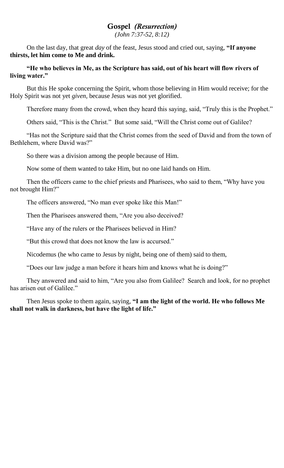### Gospel *(Resurrection)*

*(John 7:37-52, 8:12)*

On the last day, that great *day* of the feast, Jesus stood and cried out, saying, **"If anyone thirsts, let him come to Me and drink.**

**"He who believes in Me, as the Scripture has said, out of his heart will flow rivers of living water."**

But this He spoke concerning the Spirit, whom those believing in Him would receive; for the Holy Spirit was not yet *given*, because Jesus was not yet glorified.

Therefore many from the crowd, when they heard this saying, said, "Truly this is the Prophet."

Others said, "This is the Christ." But some said, "Will the Christ come out of Galilee?

"Has not the Scripture said that the Christ comes from the seed of David and from the town of Bethlehem, where David was?"

So there was a division among the people because of Him.

Now some of them wanted to take Him, but no one laid hands on Him.

Then the officers came to the chief priests and Pharisees, who said to them, "Why have you not brought Him?"

The officers answered, "No man ever spoke like this Man!"

Then the Pharisees answered them, "Are you also deceived?

"Have any of the rulers or the Pharisees believed in Him?

"But this crowd that does not know the law is accursed."

Nicodemus (he who came to Jesus by night, being one of them) said to them,

"Does our law judge a man before it hears him and knows what he is doing?"

They answered and said to him, "Are you also from Galilee? Search and look, for no prophet has arisen out of Galilee."

Then Jesus spoke to them again, saying, **"I am the light of the world. He who follows Me shall not walk in darkness, but have the light of life."**